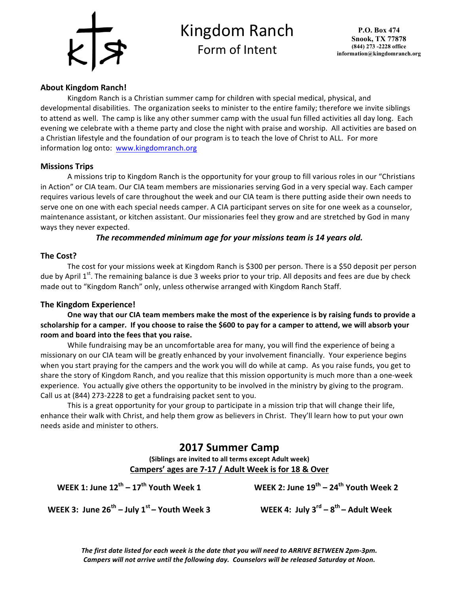

# Kingdom Ranch Form of Intent

#### **About Kingdom Ranch!**

Kingdom Ranch is a Christian summer camp for children with special medical, physical, and developmental disabilities. The organization seeks to minister to the entire family; therefore we invite siblings to attend as well. The camp is like any other summer camp with the usual fun filled activities all day long. Each evening we celebrate with a theme party and close the night with praise and worship. All activities are based on a Christian lifestyle and the foundation of our program is to teach the love of Christ to ALL. For more information log onto: www.kingdomranch.org

#### **Missions Trips**

A missions trip to Kingdom Ranch is the opportunity for your group to fill various roles in our "Christians in Action" or CIA team. Our CIA team members are missionaries serving God in a very special way. Each camper requires various levels of care throughout the week and our CIA team is there putting aside their own needs to serve one on one with each special needs camper. A CIA participant serves on site for one week as a counselor, maintenance assistant, or kitchen assistant. Our missionaries feel they grow and are stretched by God in many ways they never expected.

#### The recommended minimum age for your missions team is 14 years old.

#### **The Cost?**

The cost for your missions week at Kingdom Ranch is \$300 per person. There is a \$50 deposit per person due by April 1<sup>st</sup>. The remaining balance is due 3 weeks prior to your trip. All deposits and fees are due by check made out to "Kingdom Ranch" only, unless otherwise arranged with Kingdom Ranch Staff.

#### **The Kingdom Experience!**

One way that our CIA team members make the most of the experience is by raising funds to provide a scholarship for a camper. If you choose to raise the \$600 to pay for a camper to attend, we will absorb your room and board into the fees that you raise.

While fundraising may be an uncomfortable area for many, you will find the experience of being a missionary on our CIA team will be greatly enhanced by your involvement financially. Your experience begins when you start praying for the campers and the work you will do while at camp. As you raise funds, you get to share the story of Kingdom Ranch, and you realize that this mission opportunity is much more than a one-week experience. You actually give others the opportunity to be involved in the ministry by giving to the program. Call us at (844) 273-2228 to get a fundraising packet sent to you.

This is a great opportunity for your group to participate in a mission trip that will change their life, enhance their walk with Christ, and help them grow as believers in Christ. They'll learn how to put your own needs aside and minister to others. 

### **2017 Summer Camp**

**(Siblings are invited to all terms except Adult week) Campers' ages are 7-17 / Adult Week is for 18 & Over** 

**WEEK 1: June 12th – 17th Youth Week 1**

**WEEK 2: June 19th – 24th Youth Week 2**

**WEEK 3: June 26th – July 1st – Youth Week 3**

**WEEK 4: July 3rd – 8th – Adult Week**

The first date listed for each week is the date that you will need to ARRIVE BETWEEN 2pm-3pm. *Campers* will not arrive until the following day. Counselors will be released Saturday at Noon.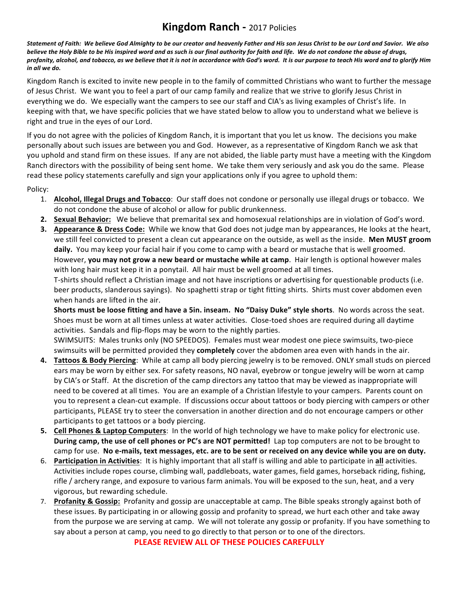### **Kingdom Ranch -** 2017 Policies

Statement of Faith: We believe God Almighty to be our creator and heavenly Father and His son Jesus Christ to be our Lord and Savior. We also believe the Holy Bible to be His inspired word and as such is our final authority for faith and life. We do not condone the abuse of drugs, profanity, alcohol, and tobacco, as we believe that it is not in accordance with God's word. It is our purpose to teach His word and to glorify Him *in all we do.*

Kingdom Ranch is excited to invite new people in to the family of committed Christians who want to further the message of Jesus Christ. We want you to feel a part of our camp family and realize that we strive to glorify Jesus Christ in everything we do. We especially want the campers to see our staff and CIA's as living examples of Christ's life. In keeping with that, we have specific policies that we have stated below to allow you to understand what we believe is right and true in the eyes of our Lord.

If you do not agree with the policies of Kingdom Ranch, it is important that you let us know. The decisions you make personally about such issues are between you and God. However, as a representative of Kingdom Ranch we ask that you uphold and stand firm on these issues. If any are not abided, the liable party must have a meeting with the Kingdom Ranch directors with the possibility of being sent home. We take them very seriously and ask you do the same. Please read these policy statements carefully and sign your applications only if you agree to uphold them:

Policy:

- 1. **Alcohol, Illegal Drugs and Tobacco**: Our staff does not condone or personally use illegal drugs or tobacco. We do not condone the abuse of alcohol or allow for public drunkenness.
- **2. Sexual Behavior:** We believe that premarital sex and homosexual relationships are in violation of God's word.
- **3. Appearance & Dress Code:** While we know that God does not judge man by appearances, He looks at the heart, we still feel convicted to present a clean cut appearance on the outside, as well as the inside. **Men MUST groom daily.** You may keep your facial hair if you come to camp with a beard or mustache that is well groomed. However, you may not grow a new beard or mustache while at camp. Hair length is optional however males with long hair must keep it in a ponytail. All hair must be well groomed at all times.

T-shirts should reflect a Christian image and not have inscriptions or advertising for questionable products (i.e. beer products, slanderous sayings). No spaghetti strap or tight fitting shirts. Shirts must cover abdomen even when hands are lifted in the air.

**Shorts must be loose fitting and have a 5in. inseam. No "Daisy Duke" style shorts**. No words across the seat. Shoes must be worn at all times unless at water activities. Close-toed shoes are required during all daytime activities. Sandals and flip-flops may be worn to the nightly parties.

SWIMSUITS: Males trunks only (NO SPEEDOS). Females must wear modest one piece swimsuits, two-piece swimsuits will be permitted provided they **completely** cover the abdomen area even with hands in the air.

- **4. Tattoos & Body Piercing**: While at camp all body piercing jewelry is to be removed. ONLY small studs on pierced ears may be worn by either sex. For safety reasons, NO naval, eyebrow or tongue jewelry will be worn at camp by CIA's or Staff. At the discretion of the camp directors any tattoo that may be viewed as inappropriate will need to be covered at all times. You are an example of a Christian lifestyle to your campers. Parents count on you to represent a clean-cut example. If discussions occur about tattoos or body piercing with campers or other participants, PLEASE try to steer the conversation in another direction and do not encourage campers or other participants to get tattoos or a body piercing.
- **5. Cell Phones & Laptop Computers**: In the world of high technology we have to make policy for electronic use. **During camp, the use of cell phones or PC's are NOT permitted!** Lap top computers are not to be brought to camp for use. No e-mails, text messages, etc. are to be sent or received on any device while you are on duty.
- 6. Participation in Activities: It is highly important that all staff is willing and able to participate in all activities. Activities include ropes course, climbing wall, paddleboats, water games, field games, horseback riding, fishing, rifle / archery range, and exposure to various farm animals. You will be exposed to the sun, heat, and a very vigorous, but rewarding schedule.
- 7. **Profanity & Gossip:** Profanity and gossip are unacceptable at camp. The Bible speaks strongly against both of these issues. By participating in or allowing gossip and profanity to spread, we hurt each other and take away from the purpose we are serving at camp. We will not tolerate any gossip or profanity. If you have something to say about a person at camp, you need to go directly to that person or to one of the directors.

**PLEASE REVIEW ALL OF THESE POLICIES CAREFULLY**